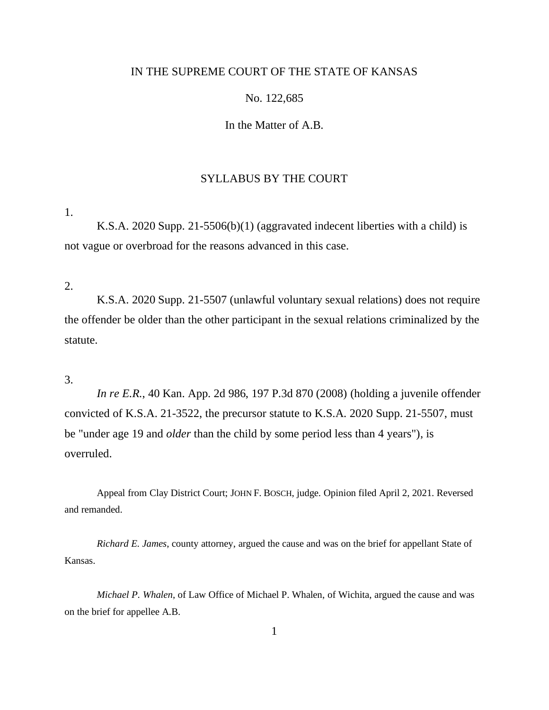# IN THE SUPREME COURT OF THE STATE OF KANSAS

# No. 122,685

In the Matter of A.B.

# SYLLABUS BY THE COURT

1.

K.S.A. 2020 Supp. 21-5506(b)(1) (aggravated indecent liberties with a child) is not vague or overbroad for the reasons advanced in this case.

2.

K.S.A. 2020 Supp. 21-5507 (unlawful voluntary sexual relations) does not require the offender be older than the other participant in the sexual relations criminalized by the statute.

3.

*In re E.R.*, 40 Kan. App. 2d 986, 197 P.3d 870 (2008) (holding a juvenile offender convicted of K.S.A. 21-3522, the precursor statute to K.S.A. 2020 Supp. 21-5507, must be "under age 19 and *older* than the child by some period less than 4 years"), is overruled.

Appeal from Clay District Court; JOHN F. BOSCH, judge. Opinion filed April 2, 2021. Reversed and remanded.

*Richard E. James*, county attorney, argued the cause and was on the brief for appellant State of Kansas.

*Michael P. Whalen*, of Law Office of Michael P. Whalen, of Wichita, argued the cause and was on the brief for appellee A.B.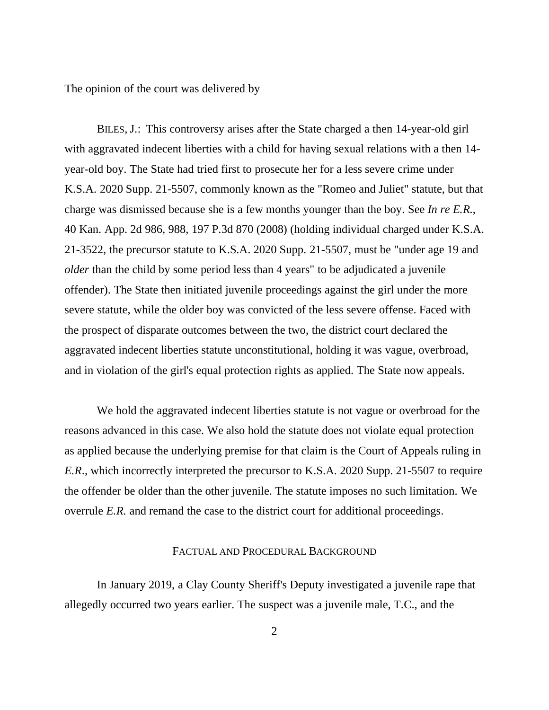The opinion of the court was delivered by

BILES, J.: This controversy arises after the State charged a then 14-year-old girl with aggravated indecent liberties with a child for having sexual relations with a then 14 year-old boy. The State had tried first to prosecute her for a less severe crime under K.S.A. 2020 Supp. 21-5507, commonly known as the "Romeo and Juliet" statute, but that charge was dismissed because she is a few months younger than the boy. See *In re E.R.*, 40 Kan. App. 2d 986, 988, 197 P.3d 870 (2008) (holding individual charged under K.S.A. 21-3522, the precursor statute to K.S.A. 2020 Supp. 21-5507, must be "under age 19 and *older* than the child by some period less than 4 years" to be adjudicated a juvenile offender). The State then initiated juvenile proceedings against the girl under the more severe statute, while the older boy was convicted of the less severe offense. Faced with the prospect of disparate outcomes between the two, the district court declared the aggravated indecent liberties statute unconstitutional, holding it was vague, overbroad, and in violation of the girl's equal protection rights as applied. The State now appeals.

We hold the aggravated indecent liberties statute is not vague or overbroad for the reasons advanced in this case. We also hold the statute does not violate equal protection as applied because the underlying premise for that claim is the Court of Appeals ruling in *E.R*., which incorrectly interpreted the precursor to K.S.A. 2020 Supp. 21-5507 to require the offender be older than the other juvenile. The statute imposes no such limitation. We overrule *E.R.* and remand the case to the district court for additional proceedings.

### FACTUAL AND PROCEDURAL BACKGROUND

In January 2019, a Clay County Sheriff's Deputy investigated a juvenile rape that allegedly occurred two years earlier. The suspect was a juvenile male, T.C., and the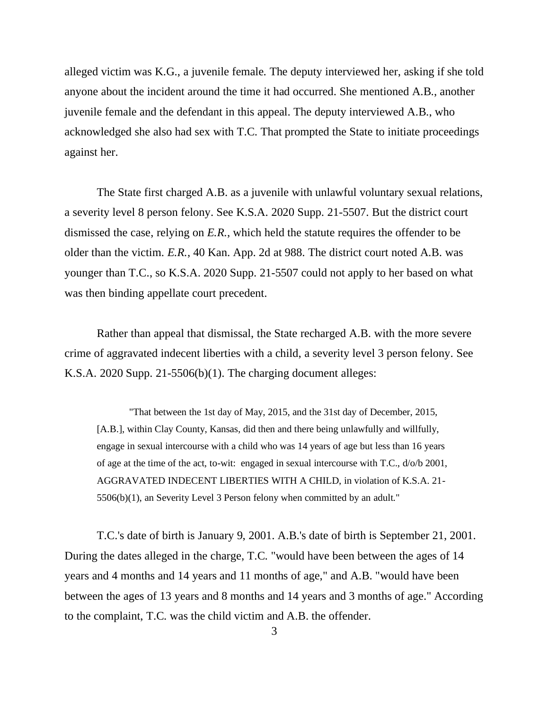alleged victim was K.G., a juvenile female. The deputy interviewed her, asking if she told anyone about the incident around the time it had occurred. She mentioned A.B., another juvenile female and the defendant in this appeal. The deputy interviewed A.B., who acknowledged she also had sex with T.C. That prompted the State to initiate proceedings against her.

The State first charged A.B. as a juvenile with unlawful voluntary sexual relations, a severity level 8 person felony. See K.S.A. 2020 Supp. 21-5507. But the district court dismissed the case, relying on *E.R.*, which held the statute requires the offender to be older than the victim. *E.R.*, 40 Kan. App. 2d at 988. The district court noted A.B. was younger than T.C., so K.S.A. 2020 Supp. 21-5507 could not apply to her based on what was then binding appellate court precedent.

Rather than appeal that dismissal, the State recharged A.B. with the more severe crime of aggravated indecent liberties with a child, a severity level 3 person felony. See K.S.A. 2020 Supp. 21-5506(b)(1). The charging document alleges:

"That between the 1st day of May, 2015, and the 31st day of December, 2015, [A.B.], within Clay County, Kansas, did then and there being unlawfully and willfully, engage in sexual intercourse with a child who was 14 years of age but less than 16 years of age at the time of the act, to-wit: engaged in sexual intercourse with T.C., d/o/b 2001, AGGRAVATED INDECENT LIBERTIES WITH A CHILD, in violation of K.S.A. 21- 5506(b)(1), an Severity Level 3 Person felony when committed by an adult."

T.C.'s date of birth is January 9, 2001. A.B.'s date of birth is September 21, 2001. During the dates alleged in the charge, T.C. "would have been between the ages of 14 years and 4 months and 14 years and 11 months of age," and A.B. "would have been between the ages of 13 years and 8 months and 14 years and 3 months of age." According to the complaint, T.C. was the child victim and A.B. the offender.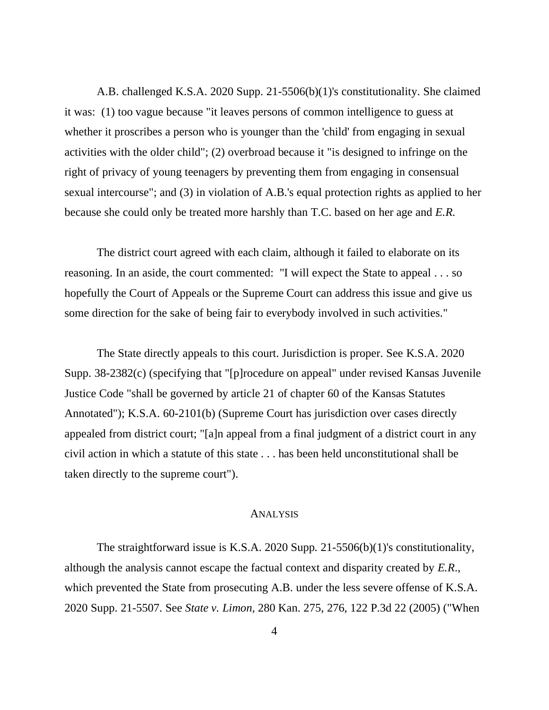A.B. challenged K.S.A. 2020 Supp. 21-5506(b)(1)'s constitutionality. She claimed it was: (1) too vague because "it leaves persons of common intelligence to guess at whether it proscribes a person who is younger than the 'child' from engaging in sexual activities with the older child"; (2) overbroad because it "is designed to infringe on the right of privacy of young teenagers by preventing them from engaging in consensual sexual intercourse"; and (3) in violation of A.B.'s equal protection rights as applied to her because she could only be treated more harshly than T.C. based on her age and *E.R*.

The district court agreed with each claim, although it failed to elaborate on its reasoning. In an aside, the court commented: "I will expect the State to appeal . . . so hopefully the Court of Appeals or the Supreme Court can address this issue and give us some direction for the sake of being fair to everybody involved in such activities."

The State directly appeals to this court. Jurisdiction is proper. See K.S.A. 2020 Supp. 38-2382(c) (specifying that "[p]rocedure on appeal" under revised Kansas Juvenile Justice Code "shall be governed by article 21 of chapter 60 of the Kansas Statutes Annotated"); K.S.A. 60-2101(b) (Supreme Court has jurisdiction over cases directly appealed from district court; "[a]n appeal from a final judgment of a district court in any civil action in which a statute of this state . . . has been held unconstitutional shall be taken directly to the supreme court").

### ANALYSIS

The straightforward issue is K.S.A. 2020 Supp. 21-5506(b)(1)'s constitutionality, although the analysis cannot escape the factual context and disparity created by *E.R*., which prevented the State from prosecuting A.B. under the less severe offense of K.S.A. 2020 Supp. 21-5507. See *State v. Limon*, 280 Kan. 275, 276, 122 P.3d 22 (2005) ("When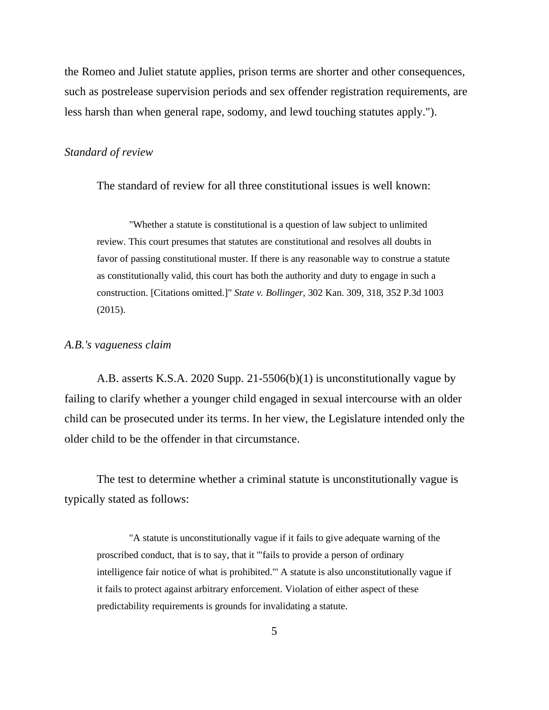the Romeo and Juliet statute applies, prison terms are shorter and other consequences, such as postrelease supervision periods and sex offender registration requirements, are less harsh than when general rape, sodomy, and lewd touching statutes apply.").

### *Standard of review*

The standard of review for all three constitutional issues is well known:

"Whether a statute is constitutional is a question of law subject to unlimited review. This court presumes that statutes are constitutional and resolves all doubts in favor of passing constitutional muster. If there is any reasonable way to construe a statute as constitutionally valid, this court has both the authority and duty to engage in such a construction. [Citations omitted.]" *State v. Bollinger*, 302 Kan. 309, 318, 352 P.3d 1003 (2015).

#### *A.B.'s vagueness claim*

A.B. asserts K.S.A. 2020 Supp. 21-5506(b)(1) is unconstitutionally vague by failing to clarify whether a younger child engaged in sexual intercourse with an older child can be prosecuted under its terms. In her view, the Legislature intended only the older child to be the offender in that circumstance.

The test to determine whether a criminal statute is unconstitutionally vague is typically stated as follows:

"A statute is unconstitutionally vague if it fails to give adequate warning of the proscribed conduct, that is to say, that it '"fails to provide a person of ordinary intelligence fair notice of what is prohibited."' A statute is also unconstitutionally vague if it fails to protect against arbitrary enforcement. Violation of either aspect of these predictability requirements is grounds for invalidating a statute.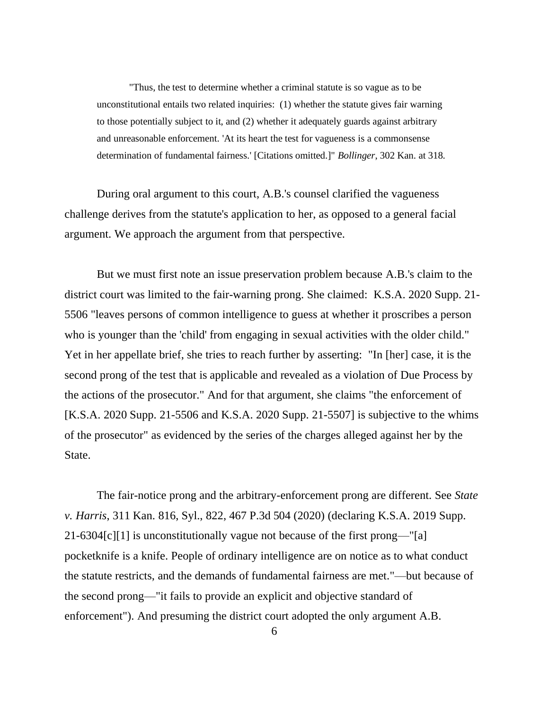"Thus, the test to determine whether a criminal statute is so vague as to be unconstitutional entails two related inquiries: (1) whether the statute gives fair warning to those potentially subject to it, and (2) whether it adequately guards against arbitrary and unreasonable enforcement. 'At its heart the test for vagueness is a commonsense determination of fundamental fairness.' [Citations omitted.]" *Bollinger*, 302 Kan. at 318.

During oral argument to this court, A.B.'s counsel clarified the vagueness challenge derives from the statute's application to her, as opposed to a general facial argument. We approach the argument from that perspective.

But we must first note an issue preservation problem because A.B.'s claim to the district court was limited to the fair-warning prong. She claimed: K.S.A. 2020 Supp. 21- 5506 "leaves persons of common intelligence to guess at whether it proscribes a person who is younger than the 'child' from engaging in sexual activities with the older child." Yet in her appellate brief, she tries to reach further by asserting: "In [her] case, it is the second prong of the test that is applicable and revealed as a violation of Due Process by the actions of the prosecutor." And for that argument, she claims "the enforcement of [K.S.A. 2020 Supp. 21-5506 and K.S.A. 2020 Supp. 21-5507] is subjective to the whims of the prosecutor" as evidenced by the series of the charges alleged against her by the State.

The fair-notice prong and the arbitrary-enforcement prong are different. See *State v. Harris*, 311 Kan. 816, Syl., 822, 467 P.3d 504 (2020) (declaring K.S.A. 2019 Supp. 21-6304[c][1] is unconstitutionally vague not because of the first prong—"[a] pocketknife is a knife. People of ordinary intelligence are on notice as to what conduct the statute restricts, and the demands of fundamental fairness are met."—but because of the second prong—"it fails to provide an explicit and objective standard of enforcement"). And presuming the district court adopted the only argument A.B.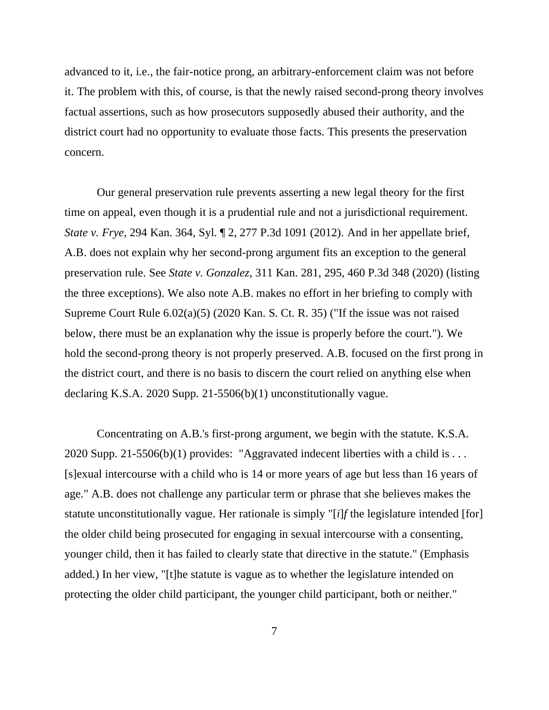advanced to it, i.e., the fair-notice prong, an arbitrary-enforcement claim was not before it. The problem with this, of course, is that the newly raised second-prong theory involves factual assertions, such as how prosecutors supposedly abused their authority, and the district court had no opportunity to evaluate those facts. This presents the preservation concern.

Our general preservation rule prevents asserting a new legal theory for the first time on appeal, even though it is a prudential rule and not a jurisdictional requirement. *State v. Frye*, 294 Kan. 364, Syl. ¶ 2, 277 P.3d 1091 (2012). And in her appellate brief, A.B. does not explain why her second-prong argument fits an exception to the general preservation rule. See *State v. Gonzalez*, 311 Kan. 281, 295, 460 P.3d 348 (2020) (listing the three exceptions). We also note A.B. makes no effort in her briefing to comply with Supreme Court Rule 6.02(a)(5) (2020 Kan. S. Ct. R. 35) ("If the issue was not raised below, there must be an explanation why the issue is properly before the court."). We hold the second-prong theory is not properly preserved. A.B. focused on the first prong in the district court, and there is no basis to discern the court relied on anything else when declaring K.S.A. 2020 Supp. 21-5506(b)(1) unconstitutionally vague.

Concentrating on A.B.'s first-prong argument, we begin with the statute. K.S.A. 2020 Supp. 21-5506(b)(1) provides: "Aggravated indecent liberties with a child is ... [s]exual intercourse with a child who is 14 or more years of age but less than 16 years of age." A.B. does not challenge any particular term or phrase that she believes makes the statute unconstitutionally vague. Her rationale is simply "[*i*]*f* the legislature intended [for] the older child being prosecuted for engaging in sexual intercourse with a consenting, younger child, then it has failed to clearly state that directive in the statute." (Emphasis added.) In her view, "[t]he statute is vague as to whether the legislature intended on protecting the older child participant, the younger child participant, both or neither."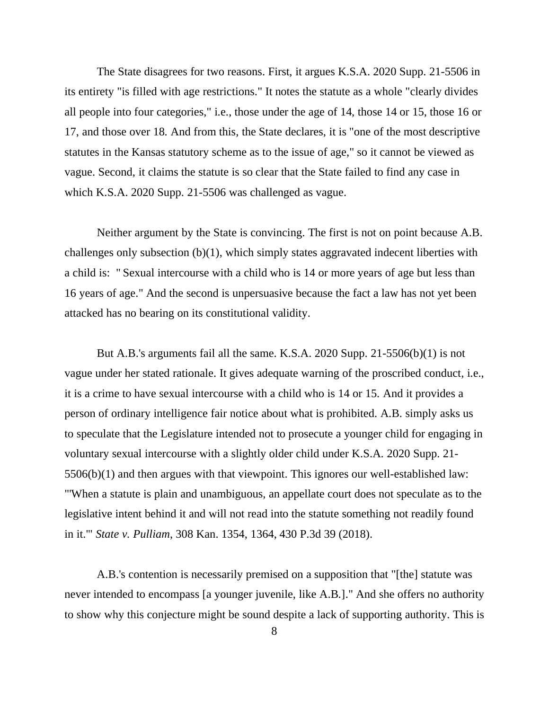The State disagrees for two reasons. First, it argues K.S.A. 2020 Supp. 21-5506 in its entirety "is filled with age restrictions." It notes the statute as a whole "clearly divides all people into four categories," i.e., those under the age of 14, those 14 or 15, those 16 or 17, and those over 18. And from this, the State declares, it is "one of the most descriptive statutes in the Kansas statutory scheme as to the issue of age," so it cannot be viewed as vague. Second, it claims the statute is so clear that the State failed to find any case in which K.S.A. 2020 Supp. 21-5506 was challenged as vague.

Neither argument by the State is convincing. The first is not on point because A.B. challenges only subsection (b)(1), which simply states aggravated indecent liberties with a child is: " Sexual intercourse with a child who is 14 or more years of age but less than 16 years of age." And the second is unpersuasive because the fact a law has not yet been attacked has no bearing on its constitutional validity.

But A.B.'s arguments fail all the same. K.S.A. 2020 Supp. 21-5506(b)(1) is not vague under her stated rationale. It gives adequate warning of the proscribed conduct, i.e., it is a crime to have sexual intercourse with a child who is 14 or 15. And it provides a person of ordinary intelligence fair notice about what is prohibited. A.B. simply asks us to speculate that the Legislature intended not to prosecute a younger child for engaging in voluntary sexual intercourse with a slightly older child under K.S.A. 2020 Supp. 21- 5506(b)(1) and then argues with that viewpoint. This ignores our well-established law: "'When a statute is plain and unambiguous, an appellate court does not speculate as to the legislative intent behind it and will not read into the statute something not readily found in it.'" *State v. Pulliam*, 308 Kan. 1354, 1364, 430 P.3d 39 (2018).

A.B.'s contention is necessarily premised on a supposition that "[the] statute was never intended to encompass [a younger juvenile, like A.B.]." And she offers no authority to show why this conjecture might be sound despite a lack of supporting authority. This is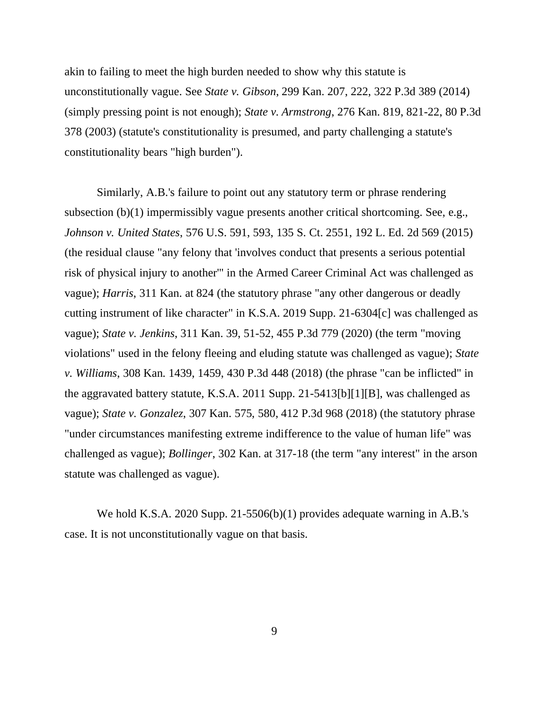akin to failing to meet the high burden needed to show why this statute is unconstitutionally vague. See *State v. Gibson*, 299 Kan. 207, 222, 322 P.3d 389 (2014) (simply pressing point is not enough); *State v. Armstrong*, 276 Kan. 819, 821-22, 80 P.3d 378 (2003) (statute's constitutionality is presumed, and party challenging a statute's constitutionality bears "high burden").

Similarly, A.B.'s failure to point out any statutory term or phrase rendering subsection (b)(1) impermissibly vague presents another critical shortcoming. See, e.g., *Johnson v. United States*, 576 U.S. 591, 593, 135 S. Ct. 2551, 192 L. Ed. 2d 569 (2015) (the residual clause "any felony that 'involves conduct that presents a serious potential risk of physical injury to another'" in the Armed Career Criminal Act was challenged as vague); *Harris*, 311 Kan. at 824 (the statutory phrase "any other dangerous or deadly cutting instrument of like character" in K.S.A. 2019 Supp. 21-6304[c] was challenged as vague); *State v. Jenkins*, 311 Kan. 39, 51-52, 455 P.3d 779 (2020) (the term "moving violations" used in the felony fleeing and eluding statute was challenged as vague); *State v. Williams*, 308 Kan. 1439, 1459, 430 P.3d 448 (2018) (the phrase "can be inflicted" in the aggravated battery statute, K.S.A. 2011 Supp. 21-5413[b][1][B], was challenged as vague); *State v. Gonzalez*, 307 Kan. 575, 580, 412 P.3d 968 (2018) (the statutory phrase "under circumstances manifesting extreme indifference to the value of human life" was challenged as vague); *Bollinger*, 302 Kan. at 317-18 (the term "any interest" in the arson statute was challenged as vague).

We hold K.S.A. 2020 Supp. 21-5506(b)(1) provides adequate warning in A.B.'s case. It is not unconstitutionally vague on that basis.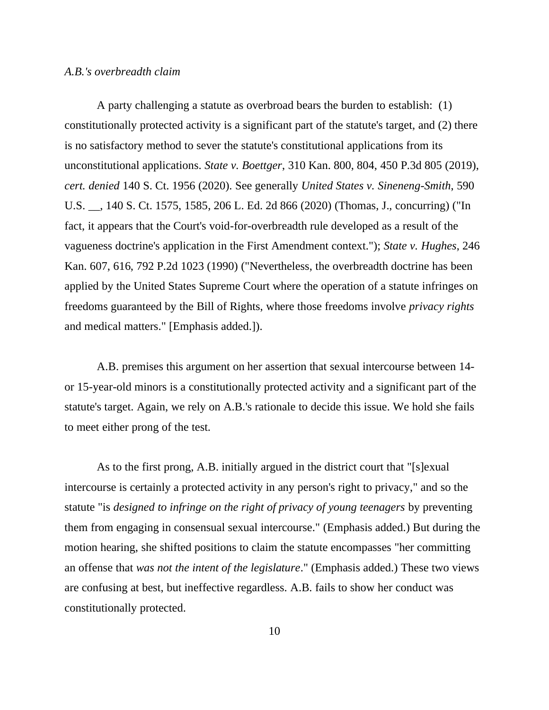### *A.B.'s overbreadth claim*

A party challenging a statute as overbroad bears the burden to establish: (1) constitutionally protected activity is a significant part of the statute's target, and (2) there is no satisfactory method to sever the statute's constitutional applications from its unconstitutional applications. *State v. Boettger*, 310 Kan. 800, 804, 450 P.3d 805 (2019), *cert. denied* 140 S. Ct. 1956 (2020). See generally *United States v. Sineneng-Smith*, 590 U.S. \_\_, 140 S. Ct. 1575, 1585, 206 L. Ed. 2d 866 (2020) (Thomas, J., concurring) ("In fact, it appears that the Court's void-for-overbreadth rule developed as a result of the vagueness doctrine's application in the First Amendment context."); *State v. Hughes*, 246 Kan. 607, 616, 792 P.2d 1023 (1990) ("Nevertheless, the overbreadth doctrine has been applied by the United States Supreme Court where the operation of a statute infringes on freedoms guaranteed by the Bill of Rights, where those freedoms involve *privacy rights* and medical matters." [Emphasis added.]).

A.B. premises this argument on her assertion that sexual intercourse between 14 or 15-year-old minors is a constitutionally protected activity and a significant part of the statute's target. Again, we rely on A.B.'s rationale to decide this issue. We hold she fails to meet either prong of the test.

As to the first prong, A.B. initially argued in the district court that "[s]exual intercourse is certainly a protected activity in any person's right to privacy," and so the statute "is *designed to infringe on the right of privacy of young teenagers* by preventing them from engaging in consensual sexual intercourse." (Emphasis added.) But during the motion hearing, she shifted positions to claim the statute encompasses "her committing an offense that *was not the intent of the legislature*." (Emphasis added.) These two views are confusing at best, but ineffective regardless. A.B. fails to show her conduct was constitutionally protected.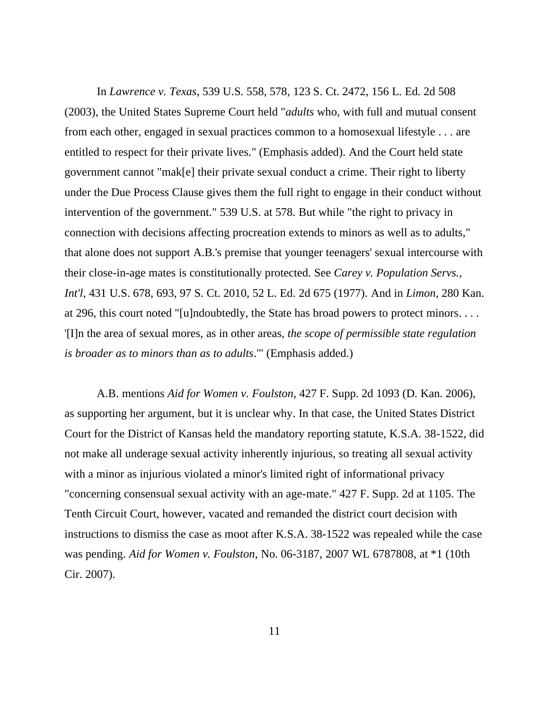In *Lawrence v. Texas*, 539 U.S. 558, 578, 123 S. Ct. 2472, 156 L. Ed. 2d 508 (2003), the United States Supreme Court held "*adults* who, with full and mutual consent from each other, engaged in sexual practices common to a homosexual lifestyle . . . are entitled to respect for their private lives." (Emphasis added). And the Court held state government cannot "mak[e] their private sexual conduct a crime. Their right to liberty under the Due Process Clause gives them the full right to engage in their conduct without intervention of the government." 539 U.S. at 578. But while "the right to privacy in connection with decisions affecting procreation extends to minors as well as to adults," that alone does not support A.B.'s premise that younger teenagers' sexual intercourse with their close-in-age mates is constitutionally protected. See *Carey v. Population Servs., Int'l*, 431 U.S. 678, 693, 97 S. Ct. 2010, 52 L. Ed. 2d 675 (1977). And in *Limon*, 280 Kan. at 296, this court noted "[u]ndoubtedly, the State has broad powers to protect minors. . . . '[I]n the area of sexual mores, as in other areas, *the scope of permissible state regulation is broader as to minors than as to adults*.'" (Emphasis added.)

A.B. mentions *Aid for Women v. Foulston*, 427 F. Supp. 2d 1093 (D. Kan. 2006), as supporting her argument, but it is unclear why. In that case, the United States District Court for the District of Kansas held the mandatory reporting statute, K.S.A. 38-1522, did not make all underage sexual activity inherently injurious, so treating all sexual activity with a minor as injurious violated a minor's limited right of informational privacy "concerning consensual sexual activity with an age-mate." 427 F. Supp. 2d at 1105. The Tenth Circuit Court, however, vacated and remanded the district court decision with instructions to dismiss the case as moot after K.S.A. 38-1522 was repealed while the case was pending. *Aid for Women v. Foulston*, No. 06-3187, 2007 WL 6787808, at \*1 (10th Cir. 2007).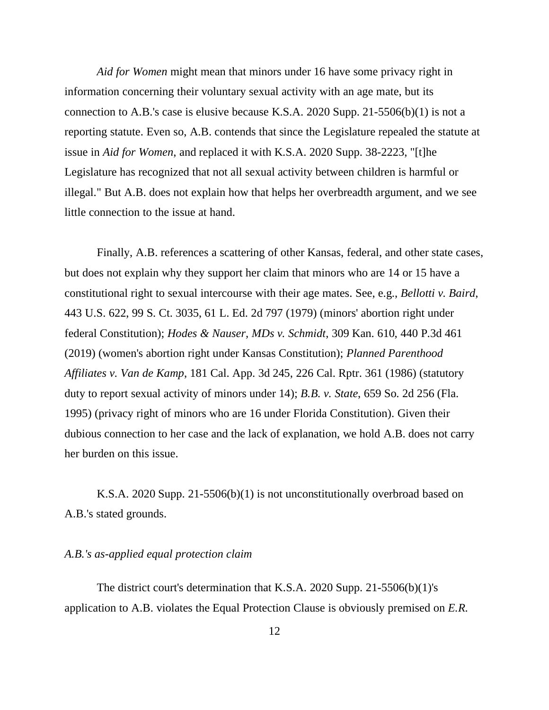*Aid for Women* might mean that minors under 16 have some privacy right in information concerning their voluntary sexual activity with an age mate, but its connection to A.B.'s case is elusive because K.S.A. 2020 Supp. 21-5506(b)(1) is not a reporting statute. Even so, A.B. contends that since the Legislature repealed the statute at issue in *Aid for Women*, and replaced it with K.S.A. 2020 Supp. 38-2223, "[t]he Legislature has recognized that not all sexual activity between children is harmful or illegal." But A.B. does not explain how that helps her overbreadth argument, and we see little connection to the issue at hand.

Finally, A.B. references a scattering of other Kansas, federal, and other state cases, but does not explain why they support her claim that minors who are 14 or 15 have a constitutional right to sexual intercourse with their age mates. See, e.g., *Bellotti v. Baird*, 443 U.S. 622, 99 S. Ct. 3035, 61 L. Ed. 2d 797 (1979) (minors' abortion right under federal Constitution); *Hodes & Nauser, MDs v. Schmidt*, 309 Kan. 610, 440 P.3d 461 (2019) (women's abortion right under Kansas Constitution); *Planned Parenthood Affiliates v. Van de Kamp*, 181 Cal. App. 3d 245, 226 Cal. Rptr. 361 (1986) (statutory duty to report sexual activity of minors under 14); *B.B. v. State*, 659 So. 2d 256 (Fla. 1995) (privacy right of minors who are 16 under Florida Constitution). Given their dubious connection to her case and the lack of explanation, we hold A.B. does not carry her burden on this issue.

K.S.A. 2020 Supp. 21-5506(b)(1) is not unconstitutionally overbroad based on A.B.'s stated grounds.

### *A.B.'s as-applied equal protection claim*

The district court's determination that K.S.A. 2020 Supp. 21-5506(b)(1)'s application to A.B. violates the Equal Protection Clause is obviously premised on *E.R*.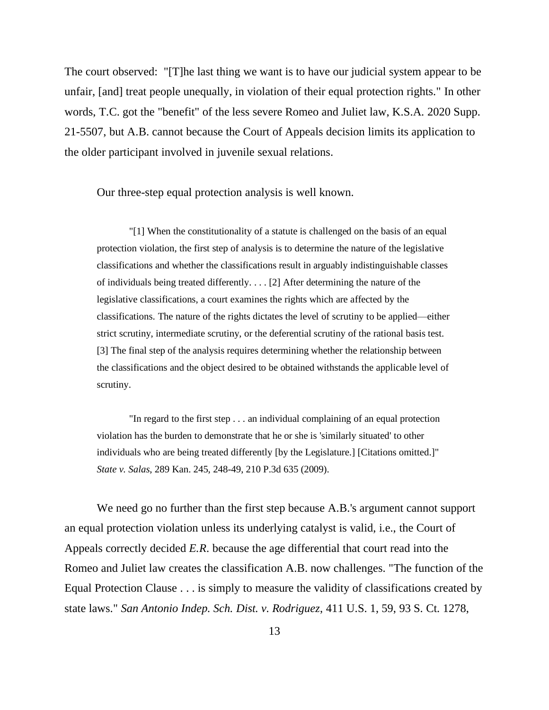The court observed: "[T]he last thing we want is to have our judicial system appear to be unfair, [and] treat people unequally, in violation of their equal protection rights." In other words, T.C. got the "benefit" of the less severe Romeo and Juliet law, K.S.A. 2020 Supp. 21-5507, but A.B. cannot because the Court of Appeals decision limits its application to the older participant involved in juvenile sexual relations.

Our three-step equal protection analysis is well known.

"[1] When the constitutionality of a statute is challenged on the basis of an equal protection violation, the first step of analysis is to determine the nature of the legislative classifications and whether the classifications result in arguably indistinguishable classes of individuals being treated differently. . . . [2] After determining the nature of the legislative classifications, a court examines the rights which are affected by the classifications. The nature of the rights dictates the level of scrutiny to be applied—either strict scrutiny, intermediate scrutiny, or the deferential scrutiny of the rational basis test. [3] The final step of the analysis requires determining whether the relationship between the classifications and the object desired to be obtained withstands the applicable level of scrutiny.

"In regard to the first step . . . an individual complaining of an equal protection violation has the burden to demonstrate that he or she is 'similarly situated' to other individuals who are being treated differently [by the Legislature.] [Citations omitted.]" *State v. Salas*, 289 Kan. 245, 248-49, 210 P.3d 635 (2009).

We need go no further than the first step because A.B.'s argument cannot support an equal protection violation unless its underlying catalyst is valid, i.e., the Court of Appeals correctly decided *E.R*. because the age differential that court read into the Romeo and Juliet law creates the classification A.B. now challenges. "The function of the Equal Protection Clause . . . is simply to measure the validity of classifications created by state laws." *San Antonio Indep. Sch. Dist. v. Rodriguez*, 411 U.S. 1, 59, 93 S. Ct. 1278,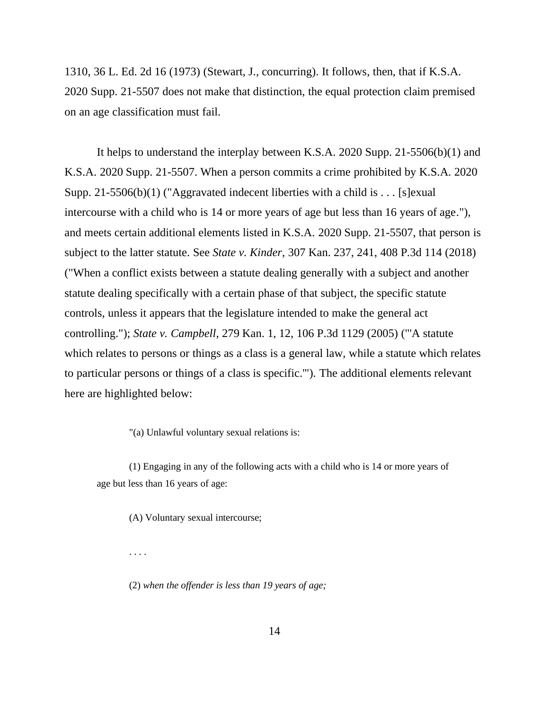1310, 36 L. Ed. 2d 16 (1973) (Stewart, J., concurring). It follows, then, that if K.S.A. 2020 Supp. 21-5507 does not make that distinction, the equal protection claim premised on an age classification must fail.

It helps to understand the interplay between K.S.A. 2020 Supp. 21-5506(b)(1) and K.S.A. 2020 Supp. 21-5507. When a person commits a crime prohibited by K.S.A. 2020 Supp. 21-5506(b)(1) ("Aggravated indecent liberties with a child is . . . [s] exual intercourse with a child who is 14 or more years of age but less than 16 years of age."), and meets certain additional elements listed in K.S.A. 2020 Supp. 21-5507, that person is subject to the latter statute. See *State v. Kinder*, 307 Kan. 237, 241, 408 P.3d 114 (2018) ("When a conflict exists between a statute dealing generally with a subject and another statute dealing specifically with a certain phase of that subject, the specific statute controls, unless it appears that the legislature intended to make the general act controlling."); *State v. Campbell*, 279 Kan. 1, 12, 106 P.3d 1129 (2005) ("'A statute which relates to persons or things as a class is a general law, while a statute which relates to particular persons or things of a class is specific.'"). The additional elements relevant here are highlighted below:

"(a) Unlawful voluntary sexual relations is:

(1) Engaging in any of the following acts with a child who is 14 or more years of age but less than 16 years of age:

(A) Voluntary sexual intercourse;

. . . .

(2) *when the offender is less than 19 years of age;*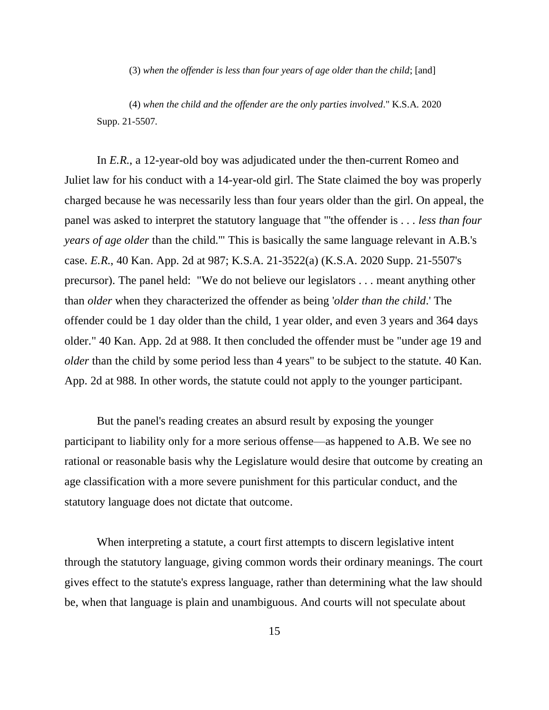(3) *when the offender is less than four years of age older than the child*; [and]

(4) *when the child and the offender are the only parties involved*." K.S.A. 2020 Supp. 21-5507.

In *E.R.*, a 12-year-old boy was adjudicated under the then-current Romeo and Juliet law for his conduct with a 14-year-old girl. The State claimed the boy was properly charged because he was necessarily less than four years older than the girl. On appeal, the panel was asked to interpret the statutory language that "'the offender is . . . *less than four years of age older* than the child.'" This is basically the same language relevant in A.B.'s case. *E.R.*, 40 Kan. App. 2d at 987; K.S.A. 21-3522(a) (K.S.A. 2020 Supp. 21-5507's precursor). The panel held: "We do not believe our legislators . . . meant anything other than *older* when they characterized the offender as being '*older than the child*.' The offender could be 1 day older than the child, 1 year older, and even 3 years and 364 days older." 40 Kan. App. 2d at 988. It then concluded the offender must be "under age 19 and *older* than the child by some period less than 4 years" to be subject to the statute. 40 Kan. App. 2d at 988. In other words, the statute could not apply to the younger participant.

But the panel's reading creates an absurd result by exposing the younger participant to liability only for a more serious offense—as happened to A.B. We see no rational or reasonable basis why the Legislature would desire that outcome by creating an age classification with a more severe punishment for this particular conduct, and the statutory language does not dictate that outcome.

When interpreting a statute, a court first attempts to discern legislative intent through the statutory language, giving common words their ordinary meanings. The court gives effect to the statute's express language, rather than determining what the law should be, when that language is plain and unambiguous. And courts will not speculate about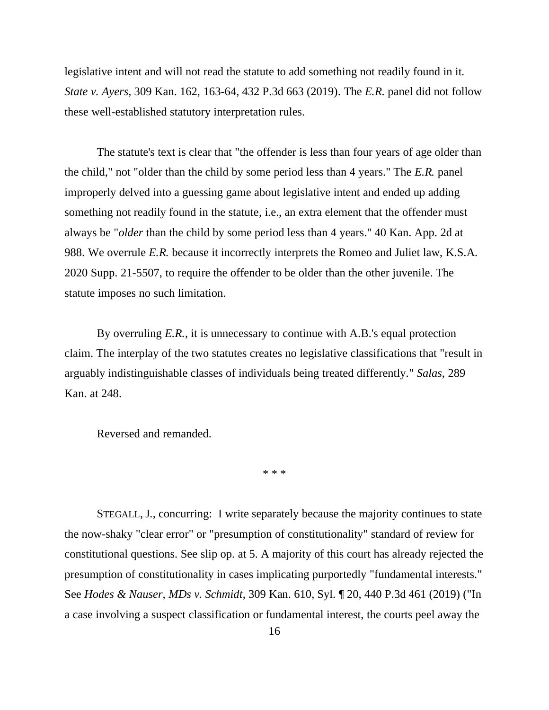legislative intent and will not read the statute to add something not readily found in it. *State v. Ayers*, 309 Kan. 162, 163-64, 432 P.3d 663 (2019). The *E.R.* panel did not follow these well-established statutory interpretation rules.

The statute's text is clear that "the offender is less than four years of age older than the child," not "older than the child by some period less than 4 years." The *E.R.* panel improperly delved into a guessing game about legislative intent and ended up adding something not readily found in the statute, i.e., an extra element that the offender must always be "*older* than the child by some period less than 4 years." 40 Kan. App. 2d at 988. We overrule *E.R.* because it incorrectly interprets the Romeo and Juliet law, K.S.A. 2020 Supp. 21-5507, to require the offender to be older than the other juvenile. The statute imposes no such limitation.

By overruling *E.R.*, it is unnecessary to continue with A.B.'s equal protection claim. The interplay of the two statutes creates no legislative classifications that "result in arguably indistinguishable classes of individuals being treated differently." *Salas*, 289 Kan. at 248.

Reversed and remanded.

\* \* \*

STEGALL, J., concurring: I write separately because the majority continues to state the now-shaky "clear error" or "presumption of constitutionality" standard of review for constitutional questions. See slip op. at 5. A majority of this court has already rejected the presumption of constitutionality in cases implicating purportedly "fundamental interests." See *Hodes & Nauser, MDs v. Schmidt*, 309 Kan. 610, Syl. ¶ 20, 440 P.3d 461 (2019) ("In a case involving a suspect classification or fundamental interest, the courts peel away the